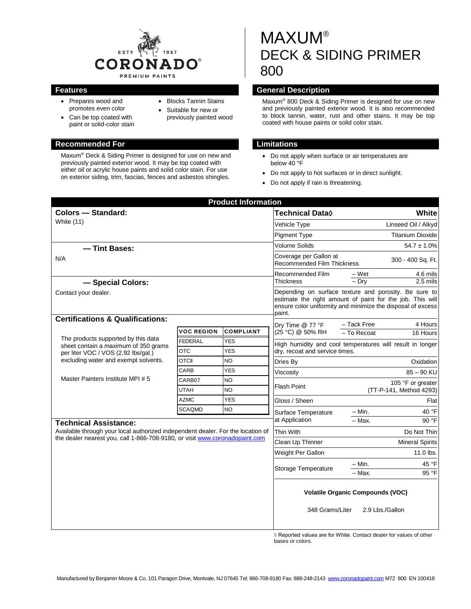

• Blocks Tannin Stains Suitable for new or previously painted wood

- Prepares wood and promotes even color
- Can be top coated with paint or solid-color stain

#### **Recommended For Limitations**

Maxum® Deck & Siding Primer is designed for use on new and previously painted exterior wood. It may be top coated with either oil or acrylic house paints and solid color stain. For use on exterior siding, trim, fascias, fences and asbestos shingles.

# MAXUM® DECK & SIDING PRIMER 800

# **Features General Description**

Maxum® 800 Deck & Siding Primer is designed for use on new and previously painted exterior wood. It is also recommended to block tannin, water, rust and other stains. It may be top coated with house paints or solid color stain.

- Do not apply when surface or air temperatures are below 40 °F
- Do not apply to hot surfaces or in direct sunlight.
- Do not apply if rain is threatening.

| <b>Product Information</b>                                                                                                                                 |                   |                  |                                                                                                                                                                                             |                                                           |
|------------------------------------------------------------------------------------------------------------------------------------------------------------|-------------------|------------------|---------------------------------------------------------------------------------------------------------------------------------------------------------------------------------------------|-----------------------------------------------------------|
| <b>Colors - Standard:</b><br>White (11)                                                                                                                    |                   |                  | <b>Technical Data</b> ♦                                                                                                                                                                     | White                                                     |
|                                                                                                                                                            |                   |                  | Vehicle Type                                                                                                                                                                                | Linseed Oil / Alkyd                                       |
|                                                                                                                                                            |                   |                  | <b>Pigment Type</b>                                                                                                                                                                         | <b>Titanium Dioxide</b>                                   |
| - Tint Bases:                                                                                                                                              |                   |                  | <b>Volume Solids</b>                                                                                                                                                                        | $54.7 \pm 1.0\%$                                          |
| N/A                                                                                                                                                        |                   |                  | Coverage per Gallon at<br>Recommended Film Thickness                                                                                                                                        | 300 - 400 Sq. Ft.                                         |
|                                                                                                                                                            |                   |                  | Recommended Film<br><b>Thickness</b>                                                                                                                                                        | – Wet<br>4.6 mils                                         |
| - Special Colors:                                                                                                                                          |                   |                  |                                                                                                                                                                                             | $-$ Dry<br>2.5 mils                                       |
| Contact your dealer.                                                                                                                                       |                   |                  | Depending on surface texture and porosity. Be sure to<br>estimate the right amount of paint for the job. This will<br>ensure color uniformity and minimize the disposal of excess<br>paint. |                                                           |
| <b>Certifications &amp; Qualifications:</b>                                                                                                                |                   |                  | Dry Time @ 77 °F                                                                                                                                                                            | - Tack Free<br>4 Hours                                    |
|                                                                                                                                                            | <b>VOC REGION</b> | <b>COMPLIANT</b> | (25 °C) @ 50% RH                                                                                                                                                                            | - To Recoat<br>16 Hours                                   |
| The products supported by this data<br>sheet contain a maximum of 350 grams<br>per liter VOC / VOS (2.92 lbs/gal.)<br>excluding water and exempt solvents. | <b>FEDERAL</b>    | <b>YES</b>       |                                                                                                                                                                                             | High humidity and cool temperatures will result in longer |
|                                                                                                                                                            | <b>OTC</b>        | <b>YES</b>       | drv. recoat and service times.                                                                                                                                                              |                                                           |
|                                                                                                                                                            | <b>OTCII</b>      | <b>NO</b>        | Dries By                                                                                                                                                                                    | Oxidation                                                 |
|                                                                                                                                                            | CARB              | <b>YES</b>       | Viscositv                                                                                                                                                                                   | $85 - 90$ KU                                              |
| Master Painters Institute MPI # 5                                                                                                                          | CARB07            | <b>NO</b>        | Flash Point                                                                                                                                                                                 | 105 °F or greater                                         |
|                                                                                                                                                            | <b>UTAH</b>       | <b>NO</b>        |                                                                                                                                                                                             | (TT-P-141, Method 4293)                                   |
|                                                                                                                                                            | <b>AZMC</b>       | <b>YES</b>       | Gloss / Sheen                                                                                                                                                                               | Flat                                                      |
|                                                                                                                                                            | <b>SCAQMD</b>     | <b>NO</b>        | Surface Temperature                                                                                                                                                                         | 40 °F<br>– Min.                                           |
| <b>Technical Assistance:</b>                                                                                                                               |                   |                  | at Application                                                                                                                                                                              | $-$ Max.<br>90 °F                                         |
| Available through your local authorized independent dealer. For the location of                                                                            |                   |                  | Thin With                                                                                                                                                                                   | Do Not Thin                                               |
| the dealer nearest you, call 1-866-708-9180, or visit www.coronadopaint.com                                                                                |                   |                  | Clean Up Thinner                                                                                                                                                                            | <b>Mineral Spirits</b>                                    |
|                                                                                                                                                            |                   |                  | Weight Per Gallon                                                                                                                                                                           | 11.0 lbs.                                                 |
|                                                                                                                                                            |                   |                  | Storage Temperature                                                                                                                                                                         | – Min.<br>45 °F                                           |
|                                                                                                                                                            |                   |                  |                                                                                                                                                                                             | 95 °F<br>$-$ Max.                                         |
|                                                                                                                                                            |                   |                  | <b>Volatile Organic Compounds (VOC)</b><br>2.9 Lbs./Gallon<br>348 Grams/Liter                                                                                                               |                                                           |
|                                                                                                                                                            |                   |                  |                                                                                                                                                                                             |                                                           |

◊ Reported values are for White. Contact dealer for values of other bases or colors.